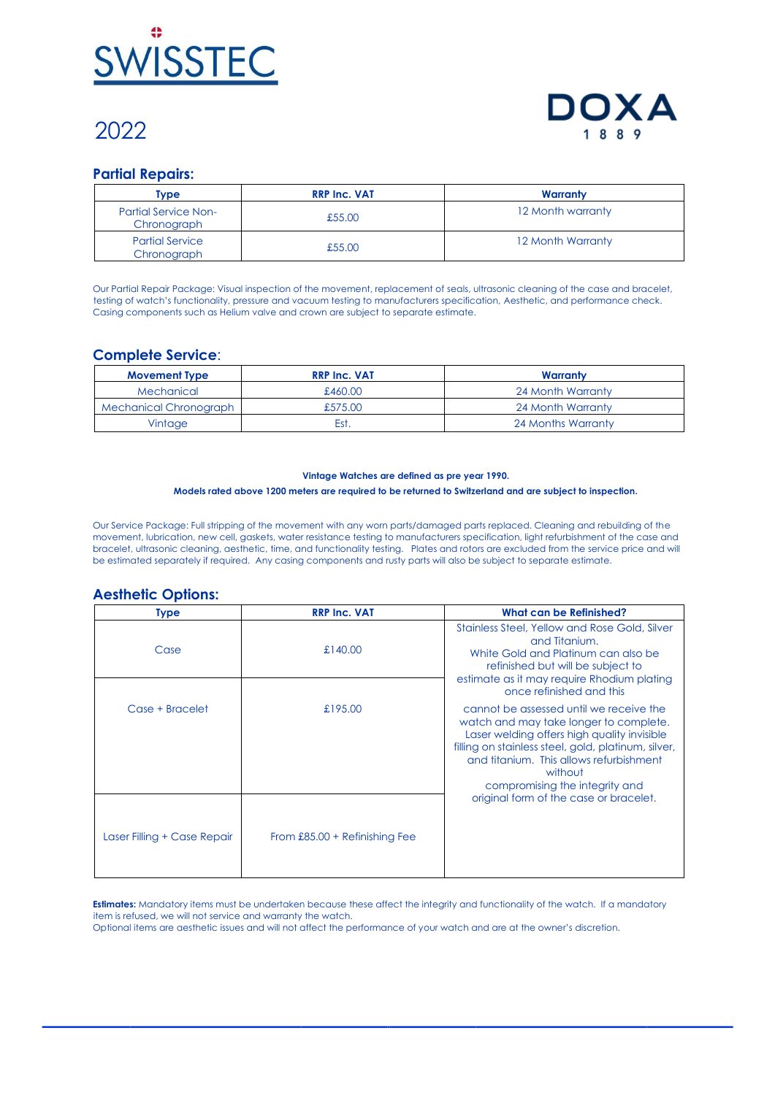

# 2022



## **Partial Repairs:**

| Type                                       | <b>RRP Inc. VAT</b> | Warranty          |
|--------------------------------------------|---------------------|-------------------|
| <b>Partial Service Non-</b><br>Chronograph | £55.00              | 12 Month warranty |
| <b>Partial Service</b><br>Chronograph      | £55.00              | 12 Month Warranty |

Our Partial Repair Package: Visual inspection of the movement, replacement of seals, ultrasonic cleaning of the case and bracelet, testing of watch's functionality, pressure and vacuum testing to manufacturers specification, Aesthetic, and performance check. Casing components such as Helium valve and crown are subject to separate estimate.

## **Complete Service**:

| <b>Movement Type</b>          | <b>RRP Inc. VAT</b> | Warranty           |
|-------------------------------|---------------------|--------------------|
| Mechanical                    | £460.00             | 24 Month Warranty  |
| <b>Mechanical Chronograph</b> | £575.00             | 24 Month Warranty  |
| Vintage                       | Est.                | 24 Months Warranty |

### **Vintage Watches are defined as pre year 1990.**

#### **Models rated above 1200 meters are required to be returned to Switzerland and are subject to inspection.**

Our Service Package: Full stripping of the movement with any worn parts/damaged parts replaced. Cleaning and rebuilding of the movement, lubrication, new cell, gaskets, water resistance testing to manufacturers specification, light refurbishment of the case and bracelet, ultrasonic cleaning, aesthetic, time, and functionality testing. Plates and rotors are excluded from the service price and will be estimated separately if required. Any casing components and rusty parts will also be subject to separate estimate.

#### **Aesthetic Options:**

| <b>Type</b>                 | <b>RRP Inc. VAT</b>             | What can be Refinished?                                                                                                                                                                                                                                                                                                   |
|-----------------------------|---------------------------------|---------------------------------------------------------------------------------------------------------------------------------------------------------------------------------------------------------------------------------------------------------------------------------------------------------------------------|
| Case                        | £140.00                         | Stainless Steel, Yellow and Rose Gold, Silver<br>and Titanium.<br>White Gold and Platinum can also be<br>refinished but will be subject to<br>estimate as it may require Rhodium plating<br>once refinished and this                                                                                                      |
| Case + Bracelet             | £195.00                         | cannot be assessed until we receive the<br>watch and may take longer to complete.<br>Laser welding offers high quality invisible<br>filling on stainless steel, gold, platinum, silver,<br>and titanium. This allows refurbishment<br>without<br>compromising the integrity and<br>original form of the case or bracelet. |
| Laser Filling + Case Repair | From $£85.00 + Refinishing Fee$ |                                                                                                                                                                                                                                                                                                                           |

**Estimates:** Mandatory items must be undertaken because these affect the integrity and functionality of the watch. If a mandatory item is refused, we will not service and warranty the watch.

Optional items are aesthetic issues and will not affect the performance of your watch and are at the owner's discretion.